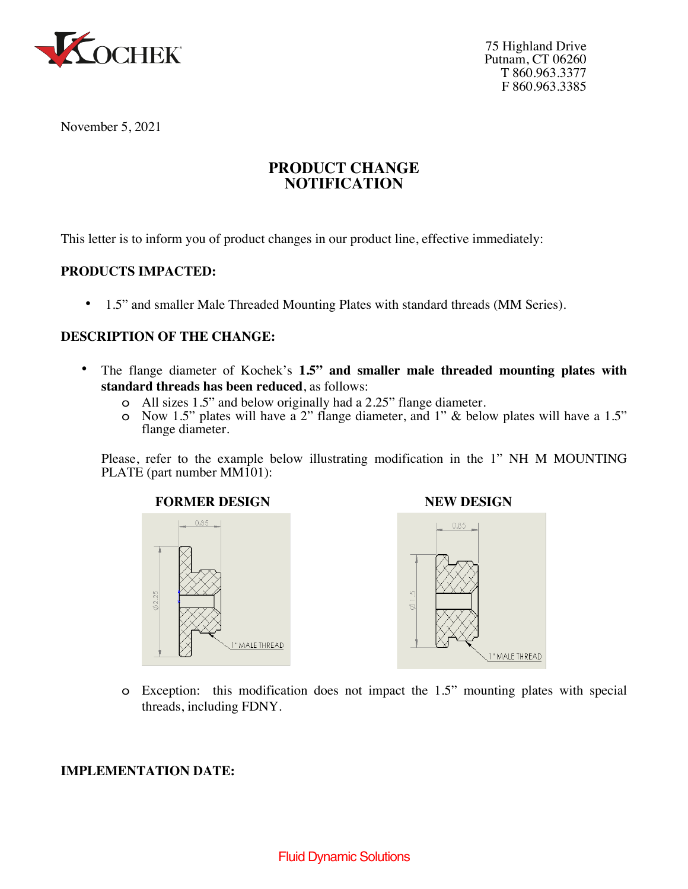

75 Highland Drive Putnam, CT 06260 T 860.963.3377 F 860.963.3385

November 5, 2021

# **PRODUCT CHANGE NOTIFICATION**

This letter is to inform you of product changes in our product line, effective immediately:

## **PRODUCTS IMPACTED:**

• 1.5" and smaller Male Threaded Mounting Plates with standard threads (MM Series).

## **DESCRIPTION OF THE CHANGE:**

- The flange diameter of Kochek's **1.5" and smaller male threaded mounting plates with standard threads has been reduced**, as follows:
	- o All sizes 1.5" and below originally had a 2.25" flange diameter.
	- o Now 1.5" plates will have a 2" flange diameter, and 1" & below plates will have a 1.5" flange diameter.

Please, refer to the example below illustrating modification in the 1" NH M MOUNTING PLATE (part number MM101):





o Exception: this modification does not impact the 1.5" mounting plates with special threads, including FDNY.

### **IMPLEMENTATION DATE:**